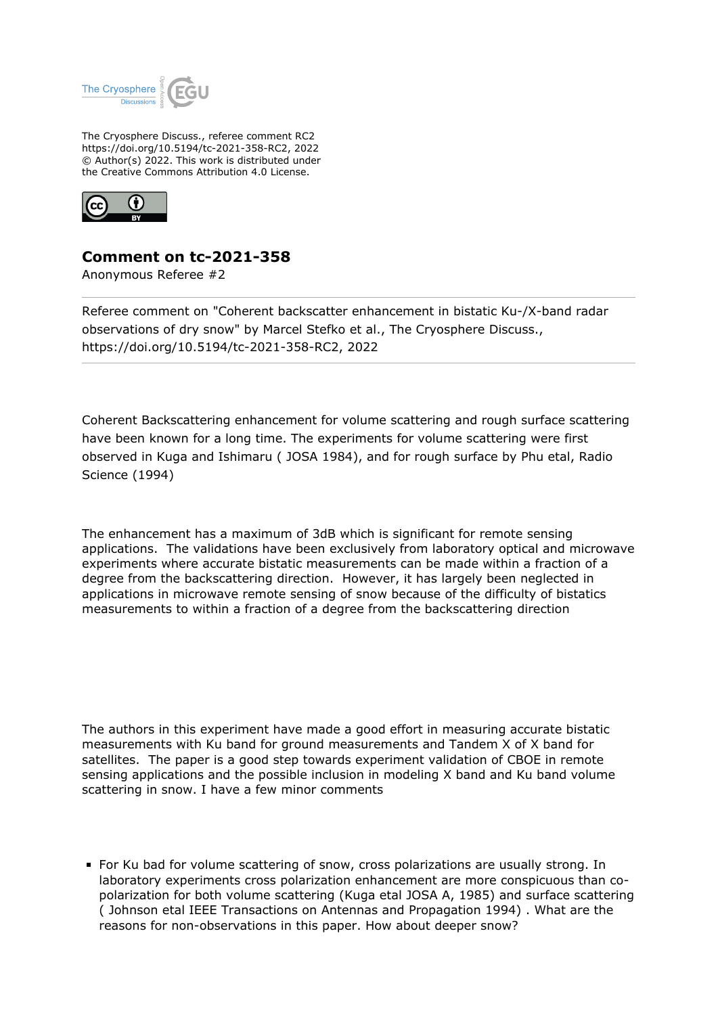

The Cryosphere Discuss., referee comment RC2 https://doi.org/10.5194/tc-2021-358-RC2, 2022 © Author(s) 2022. This work is distributed under the Creative Commons Attribution 4.0 License.



## **Comment on tc-2021-358**

Anonymous Referee #2

Referee comment on "Coherent backscatter enhancement in bistatic Ku-/X-band radar observations of dry snow" by Marcel Stefko et al., The Cryosphere Discuss., https://doi.org/10.5194/tc-2021-358-RC2, 2022

Coherent Backscattering enhancement for volume scattering and rough surface scattering have been known for a long time. The experiments for volume scattering were first observed in Kuga and Ishimaru ( JOSA 1984), and for rough surface by Phu etal, Radio Science (1994)

The enhancement has a maximum of 3dB which is significant for remote sensing applications. The validations have been exclusively from laboratory optical and microwave experiments where accurate bistatic measurements can be made within a fraction of a degree from the backscattering direction. However, it has largely been neglected in applications in microwave remote sensing of snow because of the difficulty of bistatics measurements to within a fraction of a degree from the backscattering direction

The authors in this experiment have made a good effort in measuring accurate bistatic measurements with Ku band for ground measurements and Tandem X of X band for satellites. The paper is a good step towards experiment validation of CBOE in remote sensing applications and the possible inclusion in modeling X band and Ku band volume scattering in snow. I have a few minor comments

For Ku bad for volume scattering of snow, cross polarizations are usually strong. In laboratory experiments cross polarization enhancement are more conspicuous than copolarization for both volume scattering (Kuga etal JOSA A, 1985) and surface scattering ( Johnson etal IEEE Transactions on Antennas and Propagation 1994) . What are the reasons for non-observations in this paper. How about deeper snow?